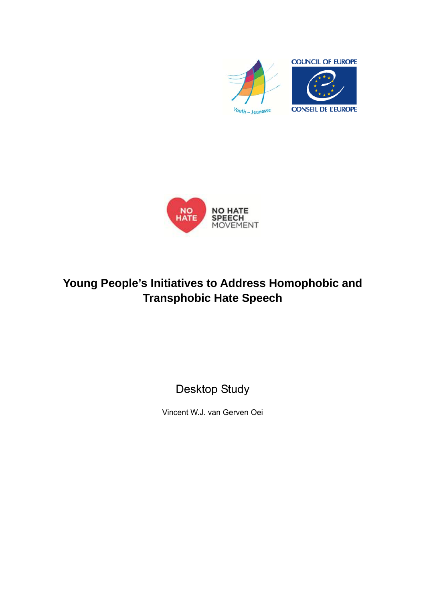



# **Young People's Initiatives to Address Homophobic and Transphobic Hate Speech**

Desktop Study

Vincent W.J. van Gerven Oei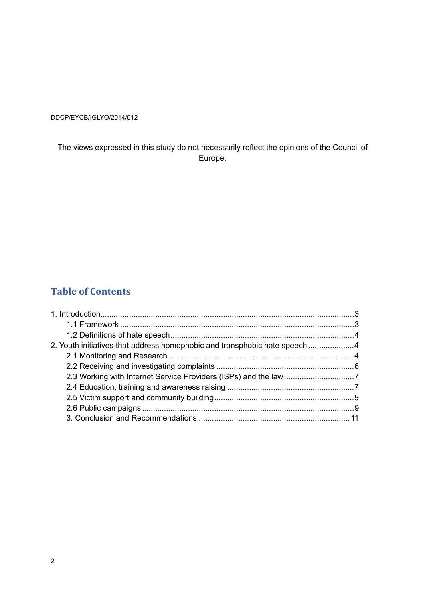DDCP/EYCB/IGLYO/2014/012

The views expressed in this study do not necessarily reflect the opinions of the Council of Europe.

## **Table of Contents**

| 2. Youth initiatives that address homophobic and transphobic hate speech |  |
|--------------------------------------------------------------------------|--|
|                                                                          |  |
|                                                                          |  |
|                                                                          |  |
|                                                                          |  |
|                                                                          |  |
|                                                                          |  |
|                                                                          |  |
|                                                                          |  |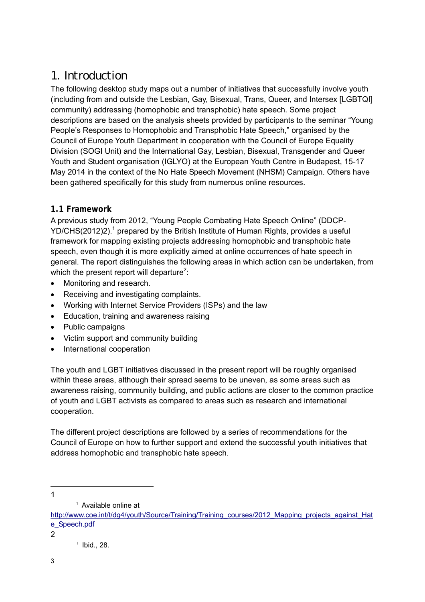# 1. Introduction

The following desktop study maps out a number of initiatives that successfully involve youth (including from and outside the Lesbian, Gay, Bisexual, Trans, Queer, and Intersex [LGBTQI] community) addressing (homophobic and transphobic) hate speech. Some project descriptions are based on the analysis sheets provided by participants to the seminar "Young People's Responses to Homophobic and Transphobic Hate Speech," organised by the Council of Europe Youth Department in cooperation with the Council of Europe Equality Division (SOGI Unit) and the International Gay, Lesbian, Bisexual, Transgender and Queer Youth and Student organisation (IGLYO) at the European Youth Centre in Budapest, 15-17 May 2014 in the context of the No Hate Speech Movement (NHSM) Campaign. Others have been gathered specifically for this study from numerous online resources.

#### **1.1 Framework**

A previous study from 2012, "Young People Combating Hate Speech Online" (DDCP-YD/CHS(2012)2).<sup>1</sup> prepared by the British Institute of Human Rights, provides a useful framework for mapping existing projects addressing homophobic and transphobic hate speech, even though it is more explicitly aimed at online occurrences of hate speech in general. The report distinguishes the following areas in which action can be undertaken, from which the present report will departure<sup>2</sup>:

- Monitoring and research.
- Receiving and investigating complaints.
- Working with Internet Service Providers (ISPs) and the law
- Education, training and awareness raising
- Public campaigns
- Victim support and community building
- International cooperation

The youth and LGBT initiatives discussed in the present report will be roughly organised within these areas, although their spread seems to be uneven, as some areas such as awareness raising, community building, and public actions are closer to the common practice of youth and LGBT activists as compared to areas such as research and international cooperation.

The different project descriptions are followed by a series of recommendations for the Council of Europe on how to further support and extend the successful youth initiatives that address homophobic and transphobic hate speech.

 $\overline{a}$ 1

<sup>1</sup> Available online at

http://www.coe.int/t/dg4/youth/Source/Training/Training\_courses/2012\_Mapping\_projects\_against\_Hat e\_Speech.pdf

 $\overline{ }$  Ibid., 28.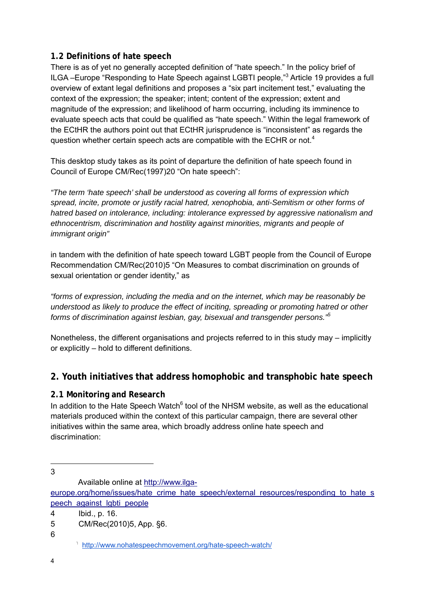#### **1.2 Definitions of hate speech**

There is as of yet no generally accepted definition of "hate speech." In the policy brief of ILGA-Europe "Responding to Hate Speech against LGBTI people,"<sup>3</sup> Article 19 provides a full overview of extant legal definitions and proposes a "six part incitement test," evaluating the context of the expression; the speaker; intent; content of the expression; extent and magnitude of the expression; and likelihood of harm occurring, including its imminence to evaluate speech acts that could be qualified as "hate speech." Within the legal framework of the ECtHR the authors point out that ECtHR jurisprudence is "inconsistent" as regards the question whether certain speech acts are compatible with the ECHR or not.<sup>4</sup>

This desktop study takes as its point of departure the definition of hate speech found in Council of Europe CM/Rec(1997)20 "On hate speech":

*"The term 'hate speech' shall be understood as covering all forms of expression which spread, incite, promote or justify racial hatred, xenophobia, anti-Semitism or other forms of hatred based on intolerance, including: intolerance expressed by aggressive nationalism and ethnocentrism, discrimination and hostility against minorities, migrants and people of immigrant origin"*

in tandem with the definition of hate speech toward LGBT people from the Council of Europe Recommendation CM/Rec(2010)5 "On Measures to combat discrimination on grounds of sexual orientation or gender identity," as

*"forms of expression, including the media and on the internet, which may be reasonably be understood as likely to produce the effect of inciting, spreading or promoting hatred or other forms of discrimination against lesbian, gay, bisexual and transgender persons."<sup>5</sup>*

Nonetheless, the different organisations and projects referred to in this study may – implicitly or explicitly – hold to different definitions.

### **2. Youth initiatives that address homophobic and transphobic hate speech**

### **2.1 Monitoring and Research**

In addition to the Hate Speech Watch<sup>6</sup> tool of the NHSM website, as well as the educational materials produced within the context of this particular campaign, there are several other initiatives within the same area, which broadly address online hate speech and discrimination:

 3

Available online at http://www.ilga-

europe.org/home/issues/hate\_crime\_hate\_speech/external\_resources/responding\_to\_hate\_s peech\_against\_lgbti\_people

<sup>4</sup> Ibid., p. 16.

<sup>5</sup> CM/Rec(2010)5, App. §6.

http://www.nohatespeechmovement.org/hate-speech-watch/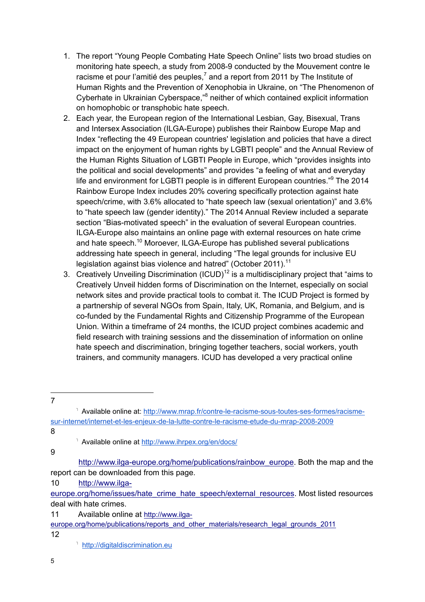- 1. The report "Young People Combating Hate Speech Online" lists two broad studies on monitoring hate speech, a study from 2008-9 conducted by the Mouvement contre le racisme et pour l'amitié des peuples,<sup>7</sup> and a report from 2011 by The Institute of Human Rights and the Prevention of Xenophobia in Ukraine, on "The Phenomenon of Cyberhate in Ukrainian Cyberspace,"<sup>8</sup> neither of which contained explicit information on homophobic or transphobic hate speech.
- 2. Each year, the European region of the International Lesbian, Gay, Bisexual, Trans and Intersex Association (ILGA-Europe) publishes their Rainbow Europe Map and Index "reflecting the 49 European countries' legislation and policies that have a direct impact on the enjoyment of human rights by LGBTI people" and the Annual Review of the Human Rights Situation of LGBTI People in Europe, which "provides insights into the political and social developments" and provides "a feeling of what and everyday life and environment for LGBTI people is in different European countries."<sup>9</sup> The 2014 Rainbow Europe Index includes 20% covering specifically protection against hate speech/crime, with 3.6% allocated to "hate speech law (sexual orientation)" and 3.6% to "hate speech law (gender identity)." The 2014 Annual Review included a separate section "Bias-motivated speech" in the evaluation of several European countries. ILGA-Europe also maintains an online page with external resources on hate crime and hate speech.<sup>10</sup> Moroever, ILGA-Europe has published several publications addressing hate speech in general, including "The legal grounds for inclusive EU legislation against bias violence and hatred" (October 2011).<sup>11</sup>
- 3. Creatively Unveiling Discrimination  $(ICUD)^{12}$  is a multidisciplinary project that "aims to Creatively Unveil hidden forms of Discrimination on the Internet, especially on social network sites and provide practical tools to combat it. The ICUD Project is formed by a partnership of several NGOs from Spain, Italy, UK, Romania, and Belgium, and is co-funded by the Fundamental Rights and Citizenship Programme of the European Union. Within a timeframe of 24 months, the ICUD project combines academic and field research with training sessions and the dissemination of information on online hate speech and discrimination, bringing together teachers, social workers, youth trainers, and community managers. ICUD has developed a very practical online
- 7

8

9

10 http://www.ilga-

12

<sup>&</sup>lt;sup>1</sup> Available online at: http://www.mrap.fr/contre-le-racisme-sous-toutes-ses-formes/racismesur-internet/internet-et-les-enjeux-de-la-lutte-contre-le-racisme-etude-du-mrap-2008-2009

<sup>&</sup>lt;sup>1</sup> Available online at http://www.ihrpex.org/en/docs/

http://www.ilga-europe.org/home/publications/rainbow\_europe. Both the map and the report can be downloaded from this page.

europe.org/home/issues/hate\_crime\_hate\_speech/external\_resources. Most listed resources deal with hate crimes.

<sup>11</sup> Available online at http://www.ilga-

europe.org/home/publications/reports\_and\_other\_materials/research\_legal\_grounds\_2011

<sup>&</sup>lt;sup>1</sup> http://digitaldiscrimination.eu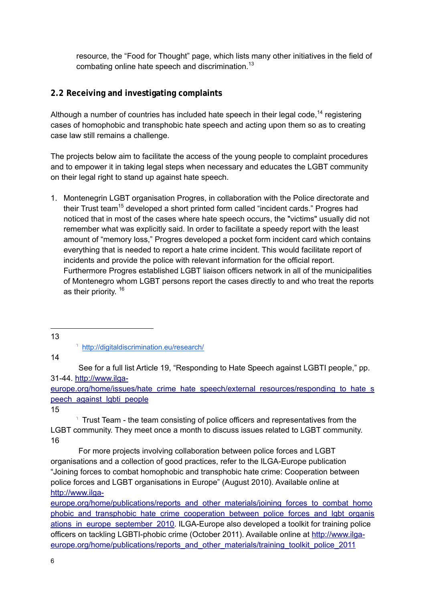resource, the "Food for Thought" page, which lists many other initiatives in the field of combating online hate speech and discrimination.<sup>13</sup>

#### **2.2 Receiving and investigating complaints**

Although a number of countries has included hate speech in their legal code,<sup>14</sup> registering cases of homophobic and transphobic hate speech and acting upon them so as to creating case law still remains a challenge.

The projects below aim to facilitate the access of the young people to complaint procedures and to empower it in taking legal steps when necessary and educates the LGBT community on their legal right to stand up against hate speech.

- 1. Montenegrin LGBT organisation Progres, in collaboration with the Police directorate and their Trust team<sup>15</sup> developed a short printed form called "incident cards." Progres had noticed that in most of the cases where hate speech occurs, the "victims" usually did not remember what was explicitly said. In order to facilitate a speedy report with the least amount of "memory loss," Progres developed a pocket form incident card which contains everything that is needed to report a hate crime incident. This would facilitate report of incidents and provide the police with relevant information for the official report. Furthermore Progres established LGBT liaison officers network in all of the municipalities of Montenegro whom LGBT persons report the cases directly to and who treat the reports as their priority. <sup>16</sup>
- $\overline{a}$ 13

http://digitaldiscrimination.eu/research/

14

 See for a full list Article 19, "Responding to Hate Speech against LGBTI people," pp. 31-44. http://www.ilga-

europe.org/home/issues/hate\_crime\_hate\_speech/external\_resources/responding\_to\_hate\_s peech against lgbti people

15

Trust Team - the team consisting of police officers and representatives from the LGBT community. They meet once a month to discuss issues related to LGBT community. 16

 For more projects involving collaboration between police forces and LGBT organisations and a collection of good practices, refer to the ILGA-Europe publication "Joining forces to combat homophobic and transphobic hate crime: Cooperation between police forces and LGBT organisations in Europe" (August 2010). Available online at http://www.ilga-

europe.org/home/publications/reports\_and\_other\_materials/joining\_forces\_to\_combat\_homo phobic and transphobic hate crime cooperation between police forces and lgbt organis ations in europe september 2010. ILGA-Europe also developed a toolkit for training police officers on tackling LGBTI-phobic crime (October 2011). Available online at http://www.ilgaeurope.org/home/publications/reports\_and\_other\_materials/training\_toolkit\_police\_2011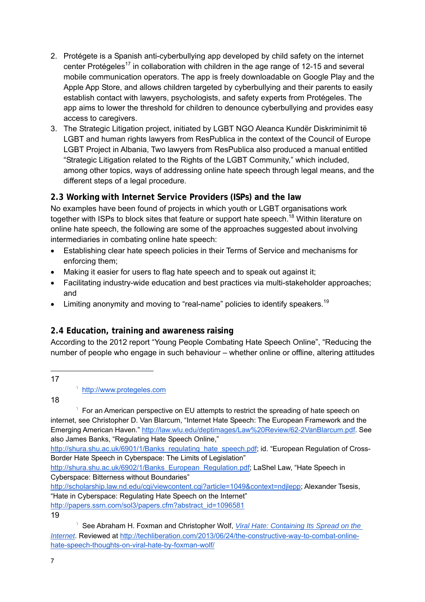- 2. Protégete is a Spanish anti-cyberbullying app developed by child safety on the internet center Protégeles<sup>17</sup> in collaboration with children in the age range of 12-15 and several mobile communication operators. The app is freely downloadable on Google Play and the Apple App Store, and allows children targeted by cyberbullying and their parents to easily establish contact with lawyers, psychologists, and safety experts from Protégeles. The app aims to lower the threshold for children to denounce cyberbullying and provides easy access to caregivers.
- 3. The Strategic Litigation project, initiated by LGBT NGO Aleanca Kundër Diskriminimit të LGBT and human rights lawyers from ResPublica in the context of the Council of Europe LGBT Project in Albania, Two lawyers from ResPublica also produced a manual entitled "Strategic Litigation related to the Rights of the LGBT Community," which included, among other topics, ways of addressing online hate speech through legal means, and the different steps of a legal procedure.

#### **2.3 Working with Internet Service Providers (ISPs) and the law**

No examples have been found of projects in which youth or LGBT organisations work together with ISPs to block sites that feature or support hate speech.<sup>18</sup> Within literature on online hate speech, the following are some of the approaches suggested about involving intermediaries in combating online hate speech:

- Establishing clear hate speech policies in their Terms of Service and mechanisms for enforcing them;
- Making it easier for users to flag hate speech and to speak out against it;
- Facilitating industry-wide education and best practices via multi-stakeholder approaches; and
- **•** Limiting anonymity and moving to "real-name" policies to identify speakers.<sup>19</sup>

#### **2.4 Education, training and awareness raising**

According to the 2012 report "Young People Combating Hate Speech Online", "Reducing the number of people who engage in such behaviour – whether online or offline, altering attitudes

 17

18

<sup>1</sup> For an American perspective on EU attempts to restrict the spreading of hate speech on internet, see Christopher D. Van Blarcum, "Internet Hate Speech: The European Framework and the Emerging American Haven." http://law.wlu.edu/deptimages/Law%20Review/62-2VanBlarcum.pdf. See also James Banks, "Regulating Hate Speech Online,"

http://shura.shu.ac.uk/6901/1/Banks\_regulating\_hate\_speech.pdf; id. "European Regulation of Cross-Border Hate Speech in Cyberspace: The Limits of Legislation"

http://shura.shu.ac.uk/6902/1/Banks\_European\_Regulation.pdf; LaShel Law, "Hate Speech in Cyberspace: Bitterness without Boundaries"

http://scholarship.law.nd.edu/cgi/viewcontent.cgi?article=1049&context=ndjlepp; Alexander Tsesis,

"Hate in Cyberspace: Regulating Hate Speech on the Internet"

http://papers.ssrn.com/sol3/papers.cfm?abstract\_id=1096581

<sup>&</sup>lt;sup>1</sup> http://www.protegeles.com

<sup>&</sup>lt;sup>1</sup> See Abraham H. Foxman and Christopher Wolf, *Viral Hate: Containing Its Spread on the Internet*. Reviewed at http://techliberation.com/2013/06/24/the-constructive-way-to-combat-onlinehate-speech-thoughts-on-viral-hate-by-foxman-wolf/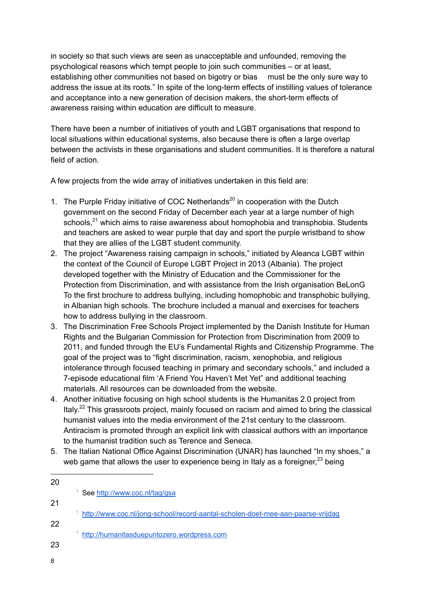in society so that such views are seen as unacceptable and unfounded, removing the psychological reasons which tempt people to join such communities – or at least, establishing other communities not based on bigotry or bias must be the only sure way to address the issue at its roots." In spite of the long-term effects of instilling values of tolerance and acceptance into a new generation of decision makers, the short-term effects of awareness raising within education are difficult to measure.

There have been a number of initiatives of youth and LGBT organisations that respond to local situations within educational systems, also because there is often a large overlap between the activists in these organisations and student communities. It is therefore a natural field of action.

A few projects from the wide array of initiatives undertaken in this field are:

- 1. The Purple Friday initiative of COC Netherlands<sup>20</sup> in cooperation with the Dutch government on the second Friday of December each year at a large number of high schools, $^{21}$  which aims to raise awareness about homophobia and transphobia. Students and teachers are asked to wear purple that day and sport the purple wristband to show that they are allies of the LGBT student community.
- 2. The project "Awareness raising campaign in schools," initiated by Aleanca LGBT within the context of the Council of Europe LGBT Project in 2013 (Albania). The project developed together with the Ministry of Education and the Commissioner for the Protection from Discrimination, and with assistance from the Irish organisation BeLonG To the first brochure to address bullying, including homophobic and transphobic bullying, in Albanian high schools. The brochure included a manual and exercises for teachers how to address bullying in the classroom.
- 3. The Discrimination Free Schools Project implemented by the Danish Institute for Human Rights and the Bulgarian Commission for Protection from Discrimination from 2009 to 2011, and funded through the EU's Fundamental Rights and Citizenship Programme. The goal of the project was to "fight discrimination, racism, xenophobia, and religious intolerance through focused teaching in primary and secondary schools," and included a 7-episode educational film 'A Friend You Haven't Met Yet" and additional teaching materials. All resources can be downloaded from the website.
- 4. Another initiative focusing on high school students is the Humanitas 2.0 project from Italy.<sup>22</sup> This grassroots project, mainly focused on racism and aimed to bring the classical humanist values into the media environment of the 21st century to the classroom. Antiracism is promoted through an explicit link with classical authors with an importance to the humanist tradition such as Terence and Seneca.
- 5. The Italian National Office Against Discrimination (UNAR) has launched "In my shoes," a web game that allows the user to experience being in Italy as a foreigner.<sup>23</sup> being

| 20 |                                                                                 |
|----|---------------------------------------------------------------------------------|
|    | See http://www.coc.nl/tag/gsa                                                   |
| 21 |                                                                                 |
|    | http://www.coc.nl/jong-school/record-aantal-scholen-doet-mee-aan-paarse-vrijdag |
| 22 |                                                                                 |
|    | http://humanitasduepuntozero.wordpress.com                                      |
| 23 |                                                                                 |
|    |                                                                                 |
| 8  |                                                                                 |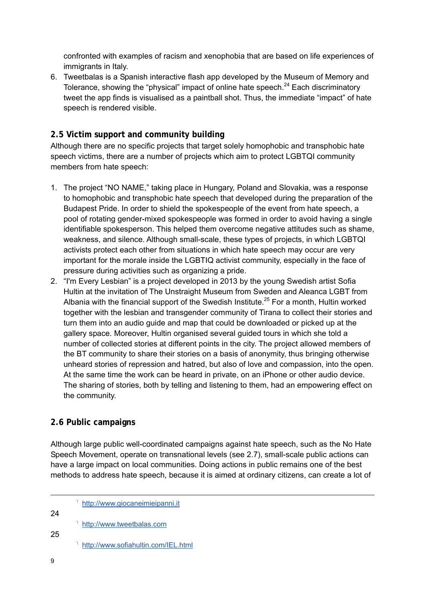confronted with examples of racism and xenophobia that are based on life experiences of immigrants in Italy.

6. Tweetbalas is a Spanish interactive flash app developed by the Museum of Memory and Tolerance, showing the "physical" impact of online hate speech. $^{24}$  Each discriminatory tweet the app finds is visualised as a paintball shot. Thus, the immediate "impact" of hate speech is rendered visible.

#### **2.5 Victim support and community building**

Although there are no specific projects that target solely homophobic and transphobic hate speech victims, there are a number of projects which aim to protect LGBTQI community members from hate speech:

- 1. The project "NO NAME," taking place in Hungary, Poland and Slovakia, was a response to homophobic and transphobic hate speech that developed during the preparation of the Budapest Pride. In order to shield the spokespeople of the event from hate speech, a pool of rotating gender-mixed spokespeople was formed in order to avoid having a single identifiable spokesperson. This helped them overcome negative attitudes such as shame, weakness, and silence. Although small-scale, these types of projects, in which LGBTQI activists protect each other from situations in which hate speech may occur are very important for the morale inside the LGBTIQ activist community, especially in the face of pressure during activities such as organizing a pride.
- 2. "I'm Every Lesbian" is a project developed in 2013 by the young Swedish artist Sofia Hultin at the invitation of The Unstraight Museum from Sweden and Aleanca LGBT from Albania with the financial support of the Swedish Institute.<sup>25</sup> For a month, Hultin worked together with the lesbian and transgender community of Tirana to collect their stories and turn them into an audio guide and map that could be downloaded or picked up at the gallery space. Moreover, Hultin organised several guided tours in which she told a number of collected stories at different points in the city. The project allowed members of the BT community to share their stories on a basis of anonymity, thus bringing otherwise unheard stories of repression and hatred, but also of love and compassion, into the open. At the same time the work can be heard in private, on an iPhone or other audio device. The sharing of stories, both by telling and listening to them, had an empowering effect on the community.

#### **2.6 Public campaigns**

Although large public well-coordinated campaigns against hate speech, such as the No Hate Speech Movement, operate on transnational levels (see 2.7), small-scale public actions can have a large impact on local communities. Doing actions in public remains one of the best methods to address hate speech, because it is aimed at ordinary citizens, can create a lot of

|    | http://www.giocaneimieipanni.it     |
|----|-------------------------------------|
| 24 | http://www.tweetbalas.com           |
| 25 | http://www.sofiahultin.com/IEL.html |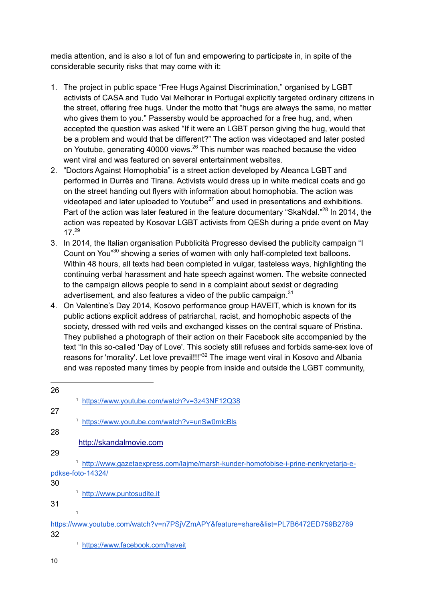media attention, and is also a lot of fun and empowering to participate in, in spite of the considerable security risks that may come with it:

- 1. The project in public space "Free Hugs Against Discrimination," organised by LGBT activists of CASA and Tudo Vai Melhorar in Portugal explicitly targeted ordinary citizens in the street, offering free hugs. Under the motto that "hugs are always the same, no matter who gives them to you." Passersby would be approached for a free hug, and, when accepted the question was asked "If it were an LGBT person giving the hug, would that be a problem and would that be different?" The action was videotaped and later posted on Youtube, generating 40000 views.<sup>26</sup> This number was reached because the video went viral and was featured on several entertainment websites.
- 2. "Doctors Against Homophobia" is a street action developed by Aleanca LGBT and performed in Durrës and Tirana. Activists would dress up in white medical coats and go on the street handing out flyers with information about homophobia. The action was videotaped and later uploaded to Youtube $^{27}$  and used in presentations and exhibitions. Part of the action was later featured in the feature documentary "SkaNdal."<sup>28</sup> In 2014, the action was repeated by Kosovar LGBT activists from QESh during a pride event on May 17.29
- 3. In 2014, the Italian organisation Pubblicità Progresso devised the publicity campaign "I Count on You<sup>"30</sup> showing a series of women with only half-completed text balloons. Within 48 hours, all texts had been completed in vulgar, tasteless ways, highlighting the continuing verbal harassment and hate speech against women. The website connected to the campaign allows people to send in a complaint about sexist or degrading advertisement, and also features a video of the public campaign. $31$
- 4. On Valentine's Day 2014, Kosovo performance group HAVEIT, which is known for its public actions explicit address of patriarchal, racist, and homophobic aspects of the society, dressed with red veils and exchanged kisses on the central square of Pristina. They published a photograph of their action on their Facebook site accompanied by the text "In this so-called 'Day of Love'. This society still refuses and forbids same-sex love of reasons for 'morality'. Let love prevail!!!"<sup>32</sup> The image went viral in Kosovo and Albania and was reposted many times by people from inside and outside the LGBT community,

| 26 |                                                                                    |
|----|------------------------------------------------------------------------------------|
|    | https://www.youtube.com/watch?v=3z43NF12Q38                                        |
| 27 |                                                                                    |
|    | https://www.youtube.com/watch?v=unSw0mlcBls                                        |
| 28 |                                                                                    |
|    | http://skandalmovie.com                                                            |
| 29 |                                                                                    |
|    | http://www.gazetaexpress.com/lajme/marsh-kunder-homofobise-i-prine-nenkryetarja-e- |
|    | pdkse-foto-14324/                                                                  |
| 30 |                                                                                    |
|    | http://www.puntosudite.it                                                          |
| 31 |                                                                                    |
|    |                                                                                    |
|    | https://www.youtube.com/watch?v=n7PSjVZmAPY&feature=share&list=PL7B6472ED759B2789  |
| 32 |                                                                                    |
|    | https://www.facebook.com/haveit                                                    |

10

 $\overline{a}$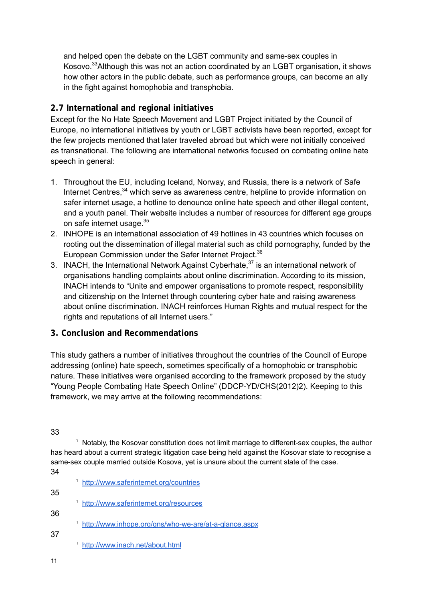and helped open the debate on the LGBT community and same-sex couples in Kosovo.<sup>33</sup> Although this was not an action coordinated by an LGBT organisation, it shows how other actors in the public debate, such as performance groups, can become an ally in the fight against homophobia and transphobia.

#### **2.7 International and regional initiatives**

Except for the No Hate Speech Movement and LGBT Project initiated by the Council of Europe, no international initiatives by youth or LGBT activists have been reported, except for the few projects mentioned that later traveled abroad but which were not initially conceived as transnational. The following are international networks focused on combating online hate speech in general:

- 1. Throughout the EU, including Iceland, Norway, and Russia, there is a network of Safe Internet Centres.<sup>34</sup> which serve as awareness centre, helpline to provide information on safer internet usage, a hotline to denounce online hate speech and other illegal content, and a youth panel. Their website includes a number of resources for different age groups on safe internet usage.<sup>35</sup>
- 2. INHOPE is an international association of 49 hotlines in 43 countries which focuses on rooting out the dissemination of illegal material such as child pornography, funded by the European Commission under the Safer Internet Project.<sup>36</sup>
- 3. INACH, the International Network Against Cyberhate,<sup>37</sup> is an international network of organisations handling complaints about online discrimination. According to its mission, INACH intends to "Unite and empower organisations to promote respect, responsibility and citizenship on the Internet through countering cyber hate and raising awareness about online discrimination. INACH reinforces Human Rights and mutual respect for the rights and reputations of all Internet users."

#### **3. Conclusion and Recommendations**

This study gathers a number of initiatives throughout the countries of the Council of Europe addressing (online) hate speech, sometimes specifically of a homophobic or transphobic nature. These initiatives were organised according to the framework proposed by the study "Young People Combating Hate Speech Online" (DDCP-YD/CHS(2012)2). Keeping to this framework, we may arrive at the following recommendations:

- http://www.saferinternet.org/countries 35 http://www.saferinternet.org/resources 36 <sup>1</sup> http://www.inhope.org/gns/who-we-are/at-a-glance.aspx 37
	- http://www.inach.net/about.html
- 11

 33

<sup>&</sup>lt;sup>1</sup> Notably, the Kosovar constitution does not limit marriage to different-sex couples, the author has heard about a current strategic litigation case being held against the Kosovar state to recognise a same-sex couple married outside Kosova, yet is unsure about the current state of the case. 34